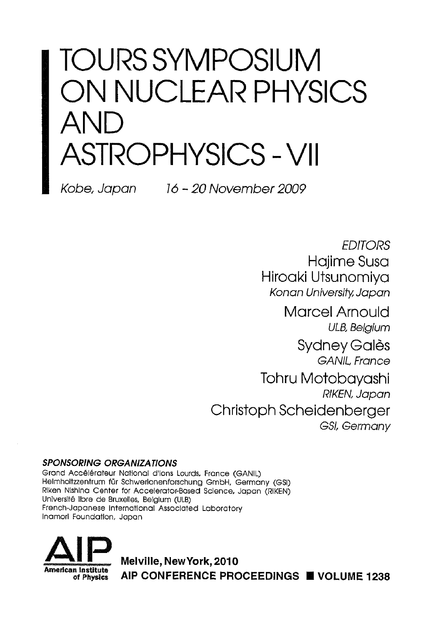# TOURS SYMPOSIUM ON NUCLEAR PHYSICS AND ASTROPHYSICS-VII

Kobe, Japan 16-20 November 2009

EDITORS Hajime Susa Hiroaki Utsunomiya Konan University, Japan

Marcel Arnould ULB, Belgium Sydney Galès GANIL France Tohru Motobayashi RIKEN, Japan Christoph Scheidenberger GSt, Germany

#### SPONSORING ORGANIZATIONS

Grand Accélérateur National d'Ions Lourds, France (GANIL) Helmholtzzentrum für Schwerlonenforschung GmbH, Germany (GSI) Rlken Nlshlna Center for Accelerator-Based Science, Japan (RIKEN) Université libre de Bruxelles, Belgium (ULB) French-Japanese International Associated Laboratory Inamorl Foundation, Japan



Melville, NewYork, 2010 n insurate AIP CONFERENCE PROCEEDINGS ■ VOLUME 1238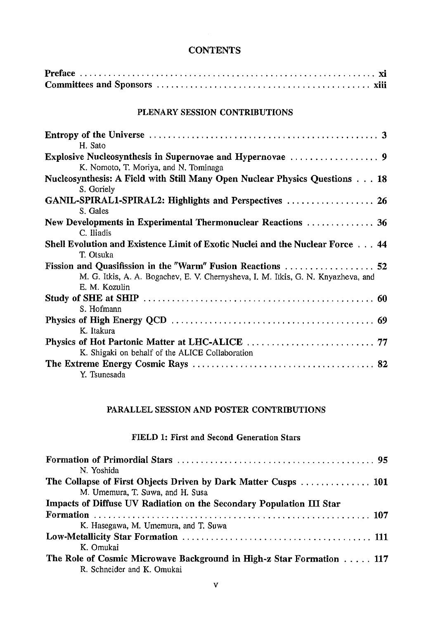#### **CONTENTS**

## PLENARY SESSION CONTRIBUTIONS

| H. Sato                                                                           |  |
|-----------------------------------------------------------------------------------|--|
|                                                                                   |  |
| K. Nomoto, T. Moriya, and N. Tominaga                                             |  |
| Nucleosynthesis: A Field with Still Many Open Nuclear Physics Questions 18        |  |
| S. Goriely                                                                        |  |
|                                                                                   |  |
| S. Gales                                                                          |  |
| New Developments in Experimental Thermonuclear Reactions  36                      |  |
| C. Iliadis                                                                        |  |
| Shell Evolution and Existence Limit of Exotic Nuclei and the Nuclear Force  44    |  |
| T. Otsuka                                                                         |  |
|                                                                                   |  |
| M. G. Itkis, A. A. Bogachev, E. V. Chernysheva, I. M. Itkis, G. N. Knyazheva, and |  |
| E. M. Kozulin                                                                     |  |
|                                                                                   |  |
| S. Hofmann                                                                        |  |
|                                                                                   |  |
| K. Itakura                                                                        |  |
|                                                                                   |  |
| K. Shigaki on behalf of the ALICE Collaboration                                   |  |
|                                                                                   |  |
| Y. Tsunesada                                                                      |  |

#### PARALLEL SESSION AND POSTER CONTRIBUTIONS

## FIELD 1: First and Second Generation Stars

| N. Yoshida                                                           |
|----------------------------------------------------------------------|
| The Collapse of First Objects Driven by Dark Matter Cusps  101       |
| M. Umemura, T. Suwa, and H. Susa                                     |
| Impacts of Diffuse UV Radiation on the Secondary Population III Star |
|                                                                      |
| K. Hasegawa, M. Umemura, and T. Suwa                                 |
|                                                                      |
| K. Omukai                                                            |
| The Role of Cosmic Microwave Background in High-z Star Formation 117 |
| R. Schneider and K. Omukai                                           |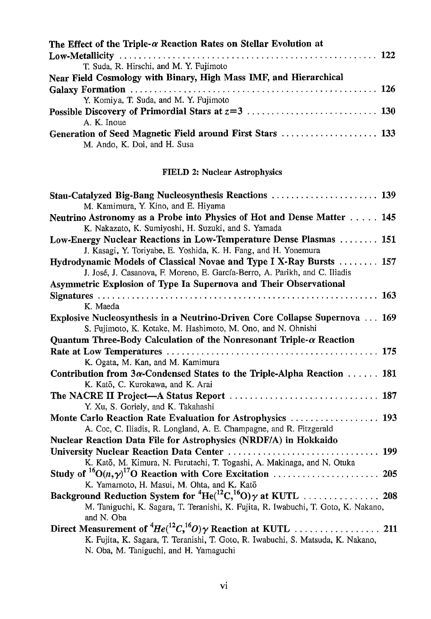| The Effect of the Triple- $\alpha$ Reaction Rates on Stellar Evolution at |  |
|---------------------------------------------------------------------------|--|
|                                                                           |  |
| T. Suda, R. Hirschi, and M. Y. Fujimoto                                   |  |
| Near Field Cosmology with Binary, High Mass IMF, and Hierarchical         |  |
|                                                                           |  |
| Y. Komiya, T. Suda, and M. Y. Fujimoto                                    |  |
|                                                                           |  |
| A. K. Inoue                                                               |  |
| Generation of Seed Magnetic Field around First Stars  133                 |  |
| M. Ando, K. Doi, and H. Susa                                              |  |

## FIELD 2: Nuclear Astrophysics

| Stau-Catalyzed Big-Bang Nucleosynthesis Reactions  139<br>M. Kamimura, Y. Kino, and E. Hiyama                                                      |
|----------------------------------------------------------------------------------------------------------------------------------------------------|
| Neutrino Astronomy as a Probe into Physics of Hot and Dense Matter  145<br>K. Nakazato, K. Sumiyoshi, H. Suzuki, and S. Yamada                     |
| Low-Energy Nuclear Reactions in Low-Temperature Dense Plasmas  151<br>J. Kasagi, Y. Toriyabe, E. Yoshida, K. H. Fang, and H. Yonemura              |
| Hydrodynamic Models of Classical Novae and Type I X-Ray Bursts  157<br>J. José, J. Casanova, F. Moreno, E. García-Berro, A. Parikh, and C. Iliadis |
| Asymmetric Explosion of Type Ia Supernova and Their Observational                                                                                  |
| K. Maeda                                                                                                                                           |
| Explosive Nucleosynthesis in a Neutrino-Driven Core Collapse Supernova  169<br>S. Fujimoto, K. Kotake, M. Hashimoto, M. Ono, and N. Ohnishi        |
| Quantum Three-Body Calculation of the Nonresonant Triple- $\alpha$ Reaction                                                                        |
|                                                                                                                                                    |
| K. Ogata, M. Kan, and M. Kamimura                                                                                                                  |
| Contribution from 3a-Condensed States to the Triple-Alpha Reaction  181                                                                            |
| K. Katō, C. Kurokawa, and K. Arai                                                                                                                  |
| Y. Xu, S. Goriely, and K. Takahashi                                                                                                                |
| Monte Carlo Reaction Rate Evaluation for Astrophysics  193                                                                                         |
| A. Coc, C. Iliadis, R. Longland, A. E. Champagne, and R. Fitzgerald                                                                                |
| Nuclear Reaction Data File for Astrophysics (NRDF/A) in Hokkaido                                                                                   |
|                                                                                                                                                    |
| K. Katō, M. Kimura, N. Furutachi, T. Togashi, A. Makinaga, and N. Otuka                                                                            |
|                                                                                                                                                    |
| K. Yamamoto, H. Masui, M. Ohta, and K. Katō                                                                                                        |
|                                                                                                                                                    |
| M. Taniguchi, K. Sagara, T. Teranishi, K. Fujita, R. Iwabuchi, T. Goto, K. Nakano,                                                                 |
| and N. Oba                                                                                                                                         |
|                                                                                                                                                    |
| K. Fujita, K. Sagara, T. Teranishi, T. Goto, R. Iwabuchi, S. Matsuda, K. Nakano,                                                                   |
| N. Oba, M. Taniguchi, and H. Yamaguchi                                                                                                             |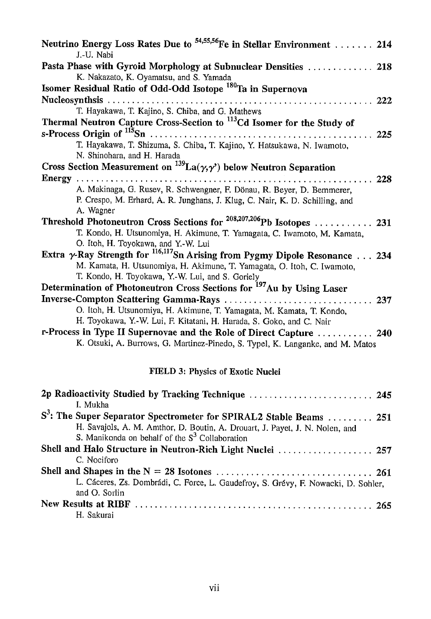| Neutrino Energy Loss Rates Due to <sup>54,55,56</sup> Fe in Stellar Environment  214              |  |
|---------------------------------------------------------------------------------------------------|--|
| J.-U. Nabi                                                                                        |  |
| Pasta Phase with Gyroid Morphology at Subnuclear Densities  218                                   |  |
| K. Nakazato, K. Oyamatsu, and S. Yamada                                                           |  |
| Isomer Residual Ratio of Odd-Odd Isotope <sup>180</sup> Ta in Supernova                           |  |
|                                                                                                   |  |
| T. Hayakawa, T. Kajino, S. Chiba, and G. Mathews                                                  |  |
| Thermal Neutron Capture Cross-Section to <sup>113</sup> Cd Isomer for the Study of                |  |
|                                                                                                   |  |
| T. Hayakawa, T. Shizuma, S. Chiba, T. Kajino, Y. Hatsukawa, N. Iwamoto,                           |  |
| N. Shinohara, and H. Harada                                                                       |  |
| Cross Section Measurement on $^{139}La(\gamma,\gamma)$ below Neutron Separation                   |  |
|                                                                                                   |  |
| A. Makinaga, G. Rusev, R. Schwengner, F. Dönau, R. Beyer, D. Bemmerer,                            |  |
| P. Crespo, M. Erhard, A. R. Junghans, J. Klug, C. Nair, K. D. Schilling, and                      |  |
| A. Wagner                                                                                         |  |
| Threshold Photoneutron Cross Sections for <sup>208,207,206</sup> Pb Isotopes  231                 |  |
| T. Kondo, H. Utsunomiya, H. Akimune, T. Yamagata, C. Iwamoto, M. Kamata,                          |  |
| O. Itoh, H. Toyokawa, and Y.-W. Lui                                                               |  |
| Extra $\gamma$ -Ray Strength for $\frac{116,117}{10}$ Sn Arising from Pygmy Dipole Resonance  234 |  |
| M. Kamata, H. Utsunomiya, H. Akimune, T. Yamagata, O. Itoh, C. Iwamoto,                           |  |
| T. Kondo, H. Toyokawa, Y.-W. Lui, and S. Goriely                                                  |  |
| Determination of Photoneutron Cross Sections for <sup>197</sup> Au by Using Laser                 |  |
|                                                                                                   |  |
| O. Itoh, H. Utsunomiya, H. Akimune, T. Yamagata, M. Kamata, T. Kondo,                             |  |
| H. Toyokawa, Y.-W. Lui, F. Kitatani, H. Harada, S. Goko, and C. Nair                              |  |
|                                                                                                   |  |
| r-Process in Type II Supernovae and the Role of Direct Capture  240                               |  |
| K. Otsuki, A. Burrows, G. Martinez-Pinedo, S. Typel, K. Langanke, and M. Matos                    |  |
| FIELD 3: Physics of Exotic Nuclei                                                                 |  |
| 2p Radioactivity Studied by Tracking Technique  245                                               |  |

| I. Mukha                                                                           |
|------------------------------------------------------------------------------------|
| S <sup>3</sup> : The Super Separator Spectrometer for SPIRAL2 Stable Beams  251    |
| H. Savajols, A. M. Amthor, D. Boutin, A. Drouart, J. Payet, J. N. Nolen, and       |
| S. Manikonda on behalf of the S <sup>3</sup> Collaboration                         |
| Shell and Halo Structure in Neutron-Rich Light Nuclei  257                         |
| C. Nociforo                                                                        |
|                                                                                    |
| L. Cáceres, Zs. Dombrádi, C. Force, L. Gaudefroy, S. Grévy, F. Nowacki, D. Sohler, |
| and O. Sorlin                                                                      |
|                                                                                    |
| H. Sakurai                                                                         |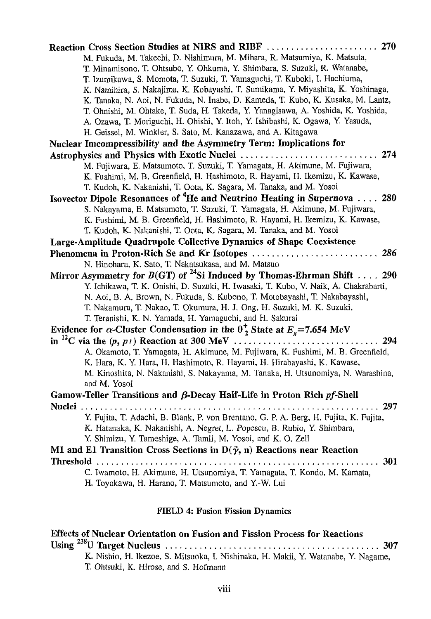| M. Fukuda, M. Takechi, D. Nishimura, M. Mihara, R. Matsumiya, K. Matsuta,<br>T. Minamisono, T. Ohtsubo, Y. Ohkuma, Y. Shimbara, S. Suzuki, R. Watanabe,<br>T. Izumikawa, S. Momota, T. Suzuki, T. Yamaguchi, T. Kuboki, I. Hachiuma,<br>K. Namihira, S. Nakajima, K. Kobayashi, T. Sumikama, Y. Miyashita, K. Yoshinaga,<br>K. Tanaka, N. Aoi, N. Fukuda, N. Inabe, D. Kameda, T. Kubo, K. Kusaka, M. Lantz,<br>T. Ohnishi, M. Ohtake, T. Suda, H. Takeda, Y. Yanagisawa, A. Yoshida, K. Yoshida,<br>A. Ozawa, T. Moriguchi, H. Ohishi, Y. Itoh, Y. Ishibashi, K. Ogawa, Y. Yasuda, |
|-------------------------------------------------------------------------------------------------------------------------------------------------------------------------------------------------------------------------------------------------------------------------------------------------------------------------------------------------------------------------------------------------------------------------------------------------------------------------------------------------------------------------------------------------------------------------------------|
| H. Geissel, M. Winkler, S. Sato, M. Kanazawa, and A. Kitagawa                                                                                                                                                                                                                                                                                                                                                                                                                                                                                                                       |
| Nuclear Imcompressibility and the Asymmetry Term: Implications for                                                                                                                                                                                                                                                                                                                                                                                                                                                                                                                  |
| 274                                                                                                                                                                                                                                                                                                                                                                                                                                                                                                                                                                                 |
| M. Fujiwara, E. Matsumoto, T. Suzuki, T. Yamagata, H. Akimune, M. Fujiwara,<br>K. Fushimi, M. B. Greenfield, H. Hashimoto, R. Hayami, H. Ikemizu, K. Kawase,<br>T. Kudoh, K. Nakanishi, T. Oota, K. Sagara, M. Tanaka, and M. Yosoi                                                                                                                                                                                                                                                                                                                                                 |
| Isovector Dipole Resonances of <sup>4</sup> He and Neutrino Heating in Supernova  280                                                                                                                                                                                                                                                                                                                                                                                                                                                                                               |
| S. Nakayama, E. Matsumoto, T. Suzuki, T. Yamagata, H. Akimune, M. Fujiwara,<br>K. Fushimi, M. B. Greenfield, H. Hashimoto, R. Hayami, H. Ikemizu, K. Kawase,<br>T. Kudoh, K. Nakanishi, T. Oota, K. Sagara, M. Tanaka, and M. Yosoi                                                                                                                                                                                                                                                                                                                                                 |
| Large-Amplitude Quadrupole Collective Dynamics of Shape Coexistence                                                                                                                                                                                                                                                                                                                                                                                                                                                                                                                 |
| 286<br>Phenomena in Proton-Rich Se and Kr Isotopes                                                                                                                                                                                                                                                                                                                                                                                                                                                                                                                                  |
| N. Hinohara, K. Sato, T. Nakatsukasa, and M. Matsuo                                                                                                                                                                                                                                                                                                                                                                                                                                                                                                                                 |
| Mirror Asymmetry for $B(GT)$ of <sup>24</sup> Si Induced by Thomas-Ehrman Shift 290<br>Y. Ichikawa, T. K. Onishi, D. Suzuki, H. Iwasaki, T. Kubo, V. Naik, A. Chakrabarti,<br>N. Aoi, B. A. Brown, N. Fukuda, S. Kubono, T. Motobayashi, T. Nakabayashi,<br>T. Nakamura, T. Nakao, T. Okumura, H. J. Ong, H. Suzuki, M. K. Suzuki,<br>T. Teranishi, K. N. Yamada, H. Yamaguchi, and H. Sakurai                                                                                                                                                                                      |
| Evidence for $\alpha$ -Cluster Condensation in the $0^+_2$ State at $E_x$ =7.654 MeV                                                                                                                                                                                                                                                                                                                                                                                                                                                                                                |
| 294<br>A. Okamoto, T. Yamagata, H. Akimune, M. Fujiwara, K. Fushimi, M. B. Greenfield,<br>K. Hara, K. Y. Hara, H. Hashimoto, R. Hayami, H. Hirabayashi, K. Kawase,<br>M. Kinoshita, N. Nakanishi, S. Nakayama, M. Tanaka, H. Utsunomiya, N. Warashina,<br>and M. Yosoi                                                                                                                                                                                                                                                                                                              |
| Gamow-Teller Transitions and $\beta$ -Decay Half-Life in Proton Rich pf-Shell                                                                                                                                                                                                                                                                                                                                                                                                                                                                                                       |
| Y. Fujita, T. Adachi, B. Blank, P. von Brentano, G. P. A. Berg, H. Fujita, K. Fujita,<br>K. Hatanaka, K. Nakanishi, A. Negret, L. Popescu, B. Rubio, Y. Shimbara,<br>Y. Shimizu, Y. Tameshige, A. Tamii, M. Yosoi, and K. O. Zell<br>M1 and E1 Transition Cross Sections in $D(\vec{\gamma}, n)$ Reactions near Reaction                                                                                                                                                                                                                                                            |
| 301<br>Threshold $\ldots \ldots \ldots \ldots \ldots \ldots \ldots$                                                                                                                                                                                                                                                                                                                                                                                                                                                                                                                 |
| C. Iwamoto, H. Akimune, H. Utsunomiya, T. Yamagata, T. Kondo, M. Kamata,<br>H. Toyokawa, H. Harano, T. Matsumoto, and Y.-W. Lui                                                                                                                                                                                                                                                                                                                                                                                                                                                     |

# FIELD 4: Fusion Fission Dynamics

| <b>Effects of Nuclear Orientation on Fusion and Fission Process for Reactions</b>  |
|------------------------------------------------------------------------------------|
|                                                                                    |
| K. Nishio, H. Ikezoe, S. Mitsuoka, I. Nishinaka, H. Makii, Y. Watanabe, Y. Nagame, |
| T. Ohtsuki, K. Hirose, and S. Hofmann                                              |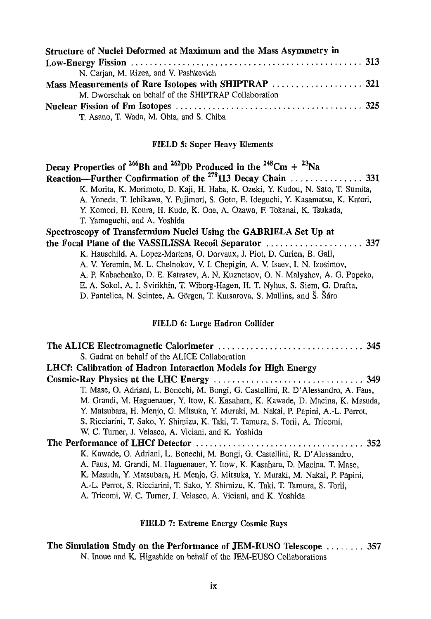| Structure of Nuclei Deformed at Maximum and the Mass Asymmetry in |  |
|-------------------------------------------------------------------|--|
|                                                                   |  |
| N. Carian, M. Rizea, and V. Pashkevich                            |  |
|                                                                   |  |
| M. Dworschak on behalf of the SHIPTRAP Collaboration              |  |
|                                                                   |  |
| T. Asano, T. Wada, M. Ohta, and S. Chiba                          |  |

# FIELD 5: Super Heavy Elements

| Decay Properties of <sup>266</sup> Bh and <sup>262</sup> Db Produced in the <sup>248</sup> Cm + <sup>23</sup> Na |
|------------------------------------------------------------------------------------------------------------------|
|                                                                                                                  |
| K. Morita, K. Morimoto, D. Kaji, H. Haba, K. Ozeki, Y. Kudou, N. Sato, T. Sumita,                                |
| A. Yoneda, T. Ichikawa, Y. Fujimori, S. Goto, E. Ideguchi, Y. Kasamatsu, K. Katori,                              |
| Y. Komori, H. Koura, H. Kudo, K. Ooe, A. Ozawa, F. Tokanai, K. Tsukada,                                          |
| T. Yamaguchi, and A. Yoshida                                                                                     |
| Spectroscopy of Transfermium Nuclei Using the GABRIELA Set Up at                                                 |
|                                                                                                                  |
| K. Hauschild, A. Lopez-Martens, O. Dorvaux, J. Piot, D. Curien, B. Gall,                                         |
| A. V. Yeremin, M. L. Chelnokov, V. I. Chepigin, A. V. Isaev, I. N. Izosimov,                                     |
| A. P. Kabachenko, D. E. Katrasev, A. N. Kuznetsov, O. N. Malyshev, A. G. Popeko,                                 |
| E. A. Sokol, A. I. Svirikhin, T. Wiborg-Hagen, H. T. Nyhus, S. Siem, G. Drafta,                                  |
| D. Pantelica, N. Scintee, A. Görgen, T. Kutsarova, S. Mullins, and Š. Šáro                                       |
|                                                                                                                  |
|                                                                                                                  |

## FIELD 6: Large Hadron Collider

| S. Gadrat on behalf of the ALICE Collaboration                                      |  |
|-------------------------------------------------------------------------------------|--|
| LHCf: Calibration of Hadron Interaction Models for High Energy                      |  |
|                                                                                     |  |
| T. Mase, O. Adriani, L. Bonechi, M. Bongi, G. Castellini, R. D'Alessandro, A. Faus, |  |
| M. Grandi, M. Haguenauer, Y. Itow, K. Kasahara, K. Kawade, D. Macina, K. Masuda,    |  |
| Y. Matsubara, H. Menjo, G. Mitsuka, Y. Muraki, M. Nakai, P. Papini, A.-L. Perrot,   |  |
| S. Ricciarini, T. Sako, Y. Shimizu, K. Taki, T. Tamura, S. Torii, A. Tricomi,       |  |
| W. C. Turner, J. Velasco, A. Viciani, and K. Yoshida                                |  |
|                                                                                     |  |
| K. Kawade, O. Adriani, L. Bonechi, M. Bongi, G. Castellini, R. D'Alessandro,        |  |
| A. Faus, M. Grandi, M. Haguenauer, Y. Itow, K. Kasahara, D. Macina, T. Mase,        |  |
| K. Masuda, Y. Matsubara, H. Menjo, G. Mitsuka, Y. Muraki, M. Nakai, P. Papini,      |  |
| A.-L. Perrot, S. Ricciarini, T. Sako, Y. Shimizu, K. Taki, T. Tamura, S. Torii,     |  |
| A. Tricomi, W. C. Turner, J. Velasco, A. Viciani, and K. Yoshida                    |  |

## FIELD 7: Extreme Energy Cosmic Rays

| The Simulation Study on the Performance of JEM-EUSO Telescope  357 |  |
|--------------------------------------------------------------------|--|
| N. Inque and K. Higashide on behalf of the JEM-EUSO Collaborations |  |